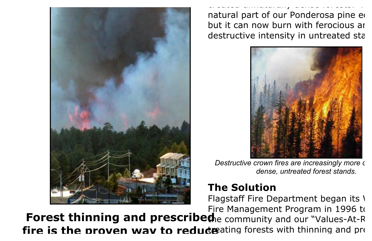

created unnaturally dense forests. Fire is a natural part of our Ponderosa pine ed but it can now burn with ferocious are destructive intensity in untreated sta



*Destructive crown fires are increasingly more c dense, untreated forest stands.*

## **The Solution**

Flagstaff Fire Department began its  $\sqrt{ }$ Fire Management Program in 1996 to

**Forest thinning and prescribed fire is the proven wav to reduce** ating forests with thinning and present present presents and present presents and present present present presents and present presents and present presents and present presents and prese **th**e community and our "Values-At-R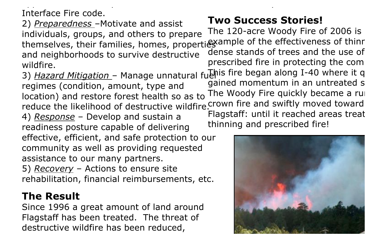Interface Fire code.

2) *Preparedness* –Motivate and assist individuals, groups, and others to prepare themselves, their ramilies, homes, properties ample of the effectiveness of thinn and neighborhoods to survive destructive wildfire.

application of the City's Wildland Urban

regimes (condition, amount, type and location) and restore forest health so as to reduce the likelihood of destructive wildfire.<sup>Crown</sup> fire and swiftly moved toward

4) *Response* – Develop and sustain a readiness posture capable of delivering

effective, efficient, and safe protection to our community as well as providing requested assistance to our many partners.

5) *Recovery* – Actions to ensure site rehabilitation, financial reimbursements, etc.

## **The Result**

Since 1996 a great amount of land around Flagstaff has been treated. The threat of destructive wildfire has been reduced,

## **Two Success Stories!**

and killed many trees.

3) *Hazard Mitigation* – Manage unnatural fuehis fire began along I-40 where it q The 120-acre Woody Fire of 2006 is dense stands of trees and the use of prescribed fire in protecting the comgained momentum in an untreated stand. The Woody Fire quickly became a run Flagstaff: until it reached areas treat thinning and prescribed fire!

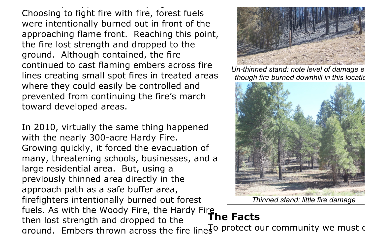Choosing to fight fire with fire, forest fuels were intentionally burned out in front of the approaching flame front. Reaching this point, the fire lost strength and dropped to the ground. Although contained, the fire continued to cast flaming embers across fire lines creating small spot fires in treated areas where they could easily be controlled and prevented from continuing the fire's march toward developed areas.

effectively stopped the fire's progression.

In 2010, virtually the same thing happened with the nearly 300-acre Hardy Fire. Growing quickly, it forced the evacuation of many, threatening schools, businesses, and a large residential area. But, using a previously thinned area directly in the approach path as a safe buffer area, firefighters intentionally burned out forest fuels. As with the Woody Fire, the Hardy Fire, then lost strength and dropped to the



*Un-thinned stand: note level of damage e though fire burned downhill in this location.* 



*Thinned stand: little fire damage*

## **The Facts**

around. Embers thrown across the fire lines of protect our community we must c